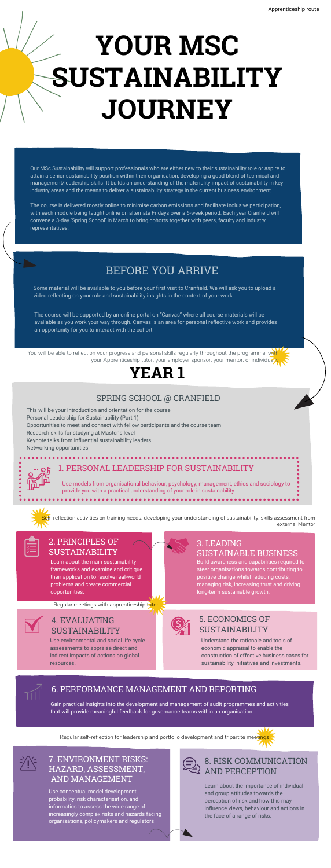This will be your introduction and orientation for the course Personal Leadership for Sustainability (Part 1) Opportunities to meet and connect with fellow participants and the course team Research skills for studying at Master's level Keynote talks from influential sustainability leaders Networking opportunities



Our MSc Sustainability will support professionals who are either new to their sustainability role or aspire to attain a senior sustainability position within their organisation, developing a good blend of technical and management/leadership skills. It builds an understanding of the materiality impact of sustainability in key industry areas and the means to deliver a sustainability strategy in the current business environment.

The course is delivered mostly online to minimise carbon emissions and facilitate inclusive participation, with each module being taught online on alternate Fridays over a 6-week period. Each year Cranfield will convene a 3-day 'Spring School' in March to bring cohorts together with peers, faculty and industry representatives.

> Use models from organisational behaviour, psychology, management, ethics and sociology to provide you with a practical understanding of your role in sustainability.

#### 1. PERSONAL LEADERSHIP FOR SUSTAINABILITY

Gain practical insights into the development and management of audit programmes and activities that will provide meaningful feedback for governance teams within an organisation.

Regular self-reflection for leadership and portfolio development and tripartite meetings



Some material will be available to you before your first visit to Cranfield. We will ask you to upload a video reflecting on your role and sustainability insights in the context of your work.

If-reflection activities on training needs, developing your understanding of sustainability, skills assessment from external Mentor

| ۰ |   |                                                                                                                                                                      | _ |  |
|---|---|----------------------------------------------------------------------------------------------------------------------------------------------------------------------|---|--|
|   | ـ | $\mathcal{L}^{\text{max}}_{\text{max}}$ and $\mathcal{L}^{\text{max}}_{\text{max}}$ and $\mathcal{L}^{\text{max}}_{\text{max}}$<br>the company's company's company's |   |  |
|   |   |                                                                                                                                                                      |   |  |
|   |   |                                                                                                                                                                      |   |  |

Learn about the main sustainability frameworks and examine and critique their application to resolve real-world problems and create commercial opportunities.



Use conceptual model development, probability, risk characterisation, and informatics to assess the wide range of increasingly complex risks and hazards facing organisations, policymakers and regulators.

Build awareness and capabilities required to steer organisations towards contributing to positive change whilst reducing costs, managing risk, increasing trust and driving long-term sustainable growth.

Regular meetings with apprenticeship tutor



Learn about the importance of individual and group attitudes towards the perception of risk and how this may influence views, behaviour and actions in the face of a range of risks.

Use environmental and social life cycle assessments to appraise direct and indirect impacts of actions on global resources.





 $\bf{W}$ 

 $\sqrt{N}$ 

Understand the rationale and tools of economic appraisal to enable the construction of effective business cases for sustainability initiatives and investments.



# **YOUR MSC SUSTAINABILITY JOURNEY**

# **YEAR 1**

# BEFORE YOU ARRIVE

### SPRING SCHOOL @ CRANFIELD

#### 2. PRINCIPLES OF SUSTAINABILITY

#### 7. ENVIRONMENT RISKS: HAZARD, ASSESSMENT, AND MANAGEMENT

### 5. ECONOMICS OF SUSTAINABILITY

### 3. LEADING SUSTAINABLE BUSINESS

## 6. PERFORMANCE MANAGEMENT AND REPORTING

#### 4. EVALUATING SUSTAINABILITY

The course will be supported by an online portal on "Canvas" where all course materials will be available as you work your way through. Canvas is an area for personal reflective work and provides an opportunity for you to interact with the cohort.

You will be able to reflect on your progress and personal skills regularly throughout the programme, with your Apprenticeship tutor, your employer sponsor, your mentor, or individual